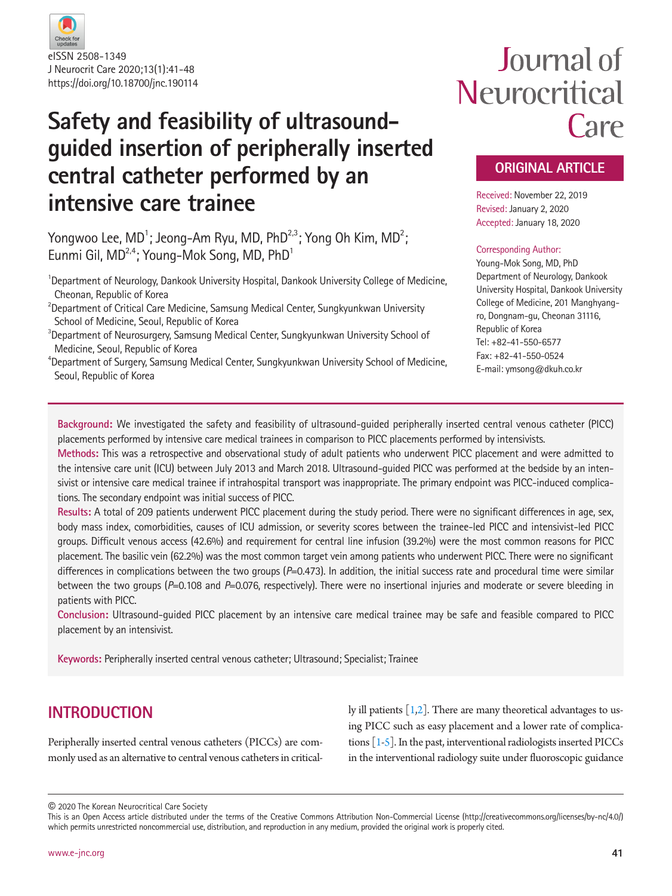

## **Safety and feasibility of ultrasoundguided insertion of peripherally inserted central catheter performed by an intensive care trainee**

Yongwoo Lee, MD $^1$ ; Jeong–Am Ryu, MD, PhD $^{2,3}$ ; Yong Oh Kim, MD $^2$ ; Eunmi Gil,  $MD<sup>2,4</sup>$ ; Young-Mok Song, MD, PhD<sup>1</sup>

<sup>1</sup>Department of Neurology, Dankook University Hospital, Dankook University College of Medicine, Cheonan, Republic of Korea

 $^{2}$ Department of Critical Care Medicine, Samsung Medical Center, Sungkyunkwan University School of Medicine, Seoul, Republic of Korea

 $^3$ Department of Neurosurgery, Samsung Medical Center, Sungkyunkwan University School of Medicine, Seoul, Republic of Korea

4 Department of Surgery, Samsung Medical Center, Sungkyunkwan University School of Medicine, Seoul, Republic of Korea

# Journal of Neurocritical Care

## **ORIGINAL ARTICLE**

Received: November 22, 2019 Revised: January 2, 2020 Accepted: January 18, 2020

#### Corresponding Author:

Young-Mok Song, MD, PhD Department of Neurology, Dankook University Hospital, Dankook University College of Medicine, 201 Manghyangro, Dongnam-gu, Cheonan 31116, Republic of Korea Tel: +82-41-550-6577 Fax: +82-41-550-0524 E-mail: ymsong@dkuh.co.kr

**Background:** We investigated the safety and feasibility of ultrasound-guided peripherally inserted central venous catheter (PICC) placements performed by intensive care medical trainees in comparison to PICC placements performed by intensivists.

**Methods:** This was a retrospective and observational study of adult patients who underwent PICC placement and were admitted to the intensive care unit (ICU) between July 2013 and March 2018. Ultrasound-guided PICC was performed at the bedside by an intensivist or intensive care medical trainee if intrahospital transport was inappropriate. The primary endpoint was PICC-induced complications. The secondary endpoint was initial success of PICC.

**Results:** A total of 209 patients underwent PICC placement during the study period. There were no significant differences in age, sex, body mass index, comorbidities, causes of ICU admission, or severity scores between the trainee-led PICC and intensivist-led PICC groups. Difficult venous access (42.6%) and requirement for central line infusion (39.2%) were the most common reasons for PICC placement. The basilic vein (62.2%) was the most common target vein among patients who underwent PICC. There were no significant differences in complications between the two groups ( $P=0.473$ ). In addition, the initial success rate and procedural time were similar between the two groups (*P*=0.108 and *P*=0.076, respectively). There were no insertional injuries and moderate or severe bleeding in patients with PICC.

**Conclusion:** Ultrasound-guided PICC placement by an intensive care medical trainee may be safe and feasible compared to PICC placement by an intensivist.

**Keywords:** Peripherally inserted central venous catheter; Ultrasound; Specialist; Trainee

## **INTRODUCTION**

Peripherally inserted central venous catheters (PICCs) are commonly used as an alternative to central venous catheters in critically ill patients  $\lceil 1,2 \rceil$ . There are many theoretical advantages to using PICC such as easy placement and a lower rate of complications  $\lceil 1-5 \rceil$ . In the past, interventional radiologists inserted PICCs in the interventional radiology suite under fluoroscopic guidance

© 2020 The Korean Neurocritical Care Society

This is an Open Access article distributed under the terms of the Creative Commons Attribution Non-Commercial License (http://creativecommons.org/licenses/by-nc/4.0/) which permits unrestricted noncommercial use, distribution, and reproduction in any medium, provided the original work is properly cited.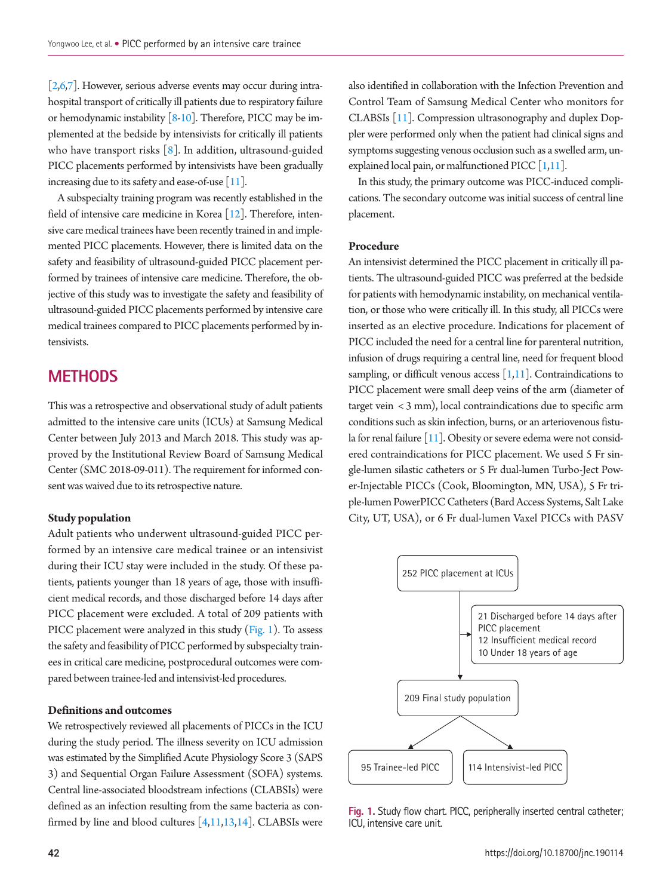[\[2](#page-6-1)[,6,](#page-6-3)[7\]](#page-6-4). However, serious adverse events may occur during intrahospital transport of critically ill patients due to respiratory failure or hemodynamic instability [\[8](#page-6-5)[-10\]](#page-6-6). Therefore, PICC may be implemented at the bedside by intensivists for critically ill patients who have transport risks [\[8\]](#page-6-5). In addition, ultrasound-guided PICC placements performed by intensivists have been gradually increasing due to its safety and ease-of-use  $[11]$ .

A subspecialty training program was recently established in the field of intensive care medicine in Korea [\[12\]](#page-6-8). Therefore, intensive care medical trainees have been recently trained in and implemented PICC placements. However, there is limited data on the safety and feasibility of ultrasound-guided PICC placement performed by trainees of intensive care medicine. Therefore, the objective of this study was to investigate the safety and feasibility of ultrasound-guided PICC placements performed by intensive care medical trainees compared to PICC placements performed by intensivists.

## **METHODS**

This was a retrospective and observational study of adult patients admitted to the intensive care units (ICUs) at Samsung Medical Center between July 2013 and March 2018. This study was approved by the Institutional Review Board of Samsung Medical Center (SMC 2018-09-011). The requirement for informed consent was waived due to its retrospective nature.

#### **Study population**

Adult patients who underwent ultrasound-guided PICC performed by an intensive care medical trainee or an intensivist during their ICU stay were included in the study. Of these patients, patients younger than 18 years of age, those with insufficient medical records, and those discharged before 14 days after PICC placement were excluded. A total of 209 patients with PICC placement were analyzed in this study [\(Fig. 1](#page-6-9)). To assess the safety and feasibility of PICC performed by subspecialty trainees in critical care medicine, postprocedural outcomes were compared between trainee-led and intensivist-led procedures.

#### **Definitions and outcomes**

We retrospectively reviewed all placements of PICCs in the ICU during the study period. The illness severity on ICU admission was estimated by the Simplified Acute Physiology Score 3 (SAPS 3) and Sequential Organ Failure Assessment (SOFA) systems. Central line-associated bloodstream infections (CLABSIs) were defined as an infection resulting from the same bacteria as confirmed by line and blood cultures  $[4,11,13,14]$  $[4,11,13,14]$  $[4,11,13,14]$  $[4,11,13,14]$ . CLABSIs were

also identified in collaboration with the Infection Prevention and Control Team of Samsung Medical Center who monitors for CLABSIs [\[11](#page-6-7)]. Compression ultrasonography and duplex Doppler were performed only when the patient had clinical signs and symptoms suggesting venous occlusion such as a swelled arm, unexplained local pain, or malfunctioned PICC  $[1,11]$  $[1,11]$ .

In this study, the primary outcome was PICC-induced complications. The secondary outcome was initial success of central line placement.

#### **Procedure**

An intensivist determined the PICC placement in critically ill patients. The ultrasound-guided PICC was preferred at the bedside for patients with hemodynamic instability, on mechanical ventilation, or those who were critically ill. In this study, all PICCs were inserted as an elective procedure. Indications for placement of PICC included the need for a central line for parenteral nutrition, infusion of drugs requiring a central line, need for frequent blood sampling, or difficult venous access  $[1,11]$  $[1,11]$ . Contraindications to PICC placement were small deep veins of the arm (diameter of target vein < 3 mm), local contraindications due to specific arm conditions such as skin infection, burns, or an arteriovenous fistu-la for renal failure [\[11\]](#page-6-11). Obesity or severe edema were not considered contraindications for PICC placement. We used 5 Fr single-lumen silastic catheters or 5 Fr dual-lumen Turbo-Ject Power-Injectable PICCs (Cook, Bloomington, MN, USA), 5 Fr triple-lumen PowerPICC Catheters (Bard Access Systems, Salt Lake City, UT, USA), or 6 Fr dual-lumen Vaxel PICCs with PASV



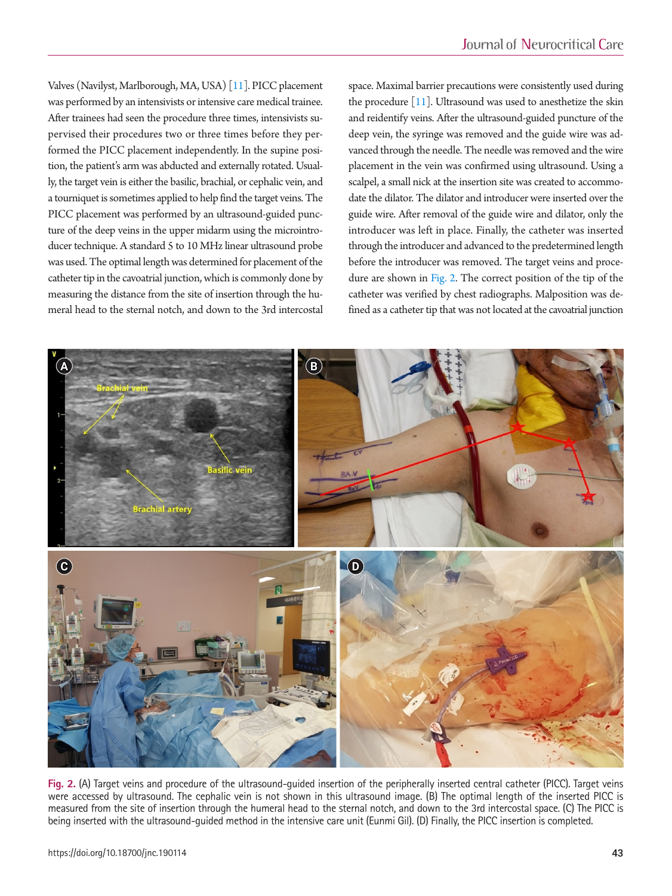Valves (Navilyst, Marlborough, MA, USA) [\[11\]](#page-6-11). PICC placement was performed by an intensivists or intensive care medical trainee. After trainees had seen the procedure three times, intensivists supervised their procedures two or three times before they performed the PICC placement independently. In the supine position, the patient's arm was abducted and externally rotated. Usually, the target vein is either the basilic, brachial, or cephalic vein, and a tourniquet is sometimes applied to help find the target veins. The PICC placement was performed by an ultrasound-guided puncture of the deep veins in the upper midarm using the microintroducer technique. A standard 5 to 10 MHz linear ultrasound probe was used. The optimal length was determined for placement of the catheter tip in the cavoatrial junction, which is commonly done by measuring the distance from the site of insertion through the humeral head to the sternal notch, and down to the 3rd intercostal

space. Maximal barrier precautions were consistently used during the procedure  $[11]$ . Ultrasound was used to anesthetize the skin and reidentify veins. After the ultrasound-guided puncture of the deep vein, the syringe was removed and the guide wire was advanced through the needle. The needle was removed and the wire placement in the vein was confirmed using ultrasound. Using a scalpel, a small nick at the insertion site was created to accommodate the dilator. The dilator and introducer were inserted over the guide wire. After removal of the guide wire and dilator, only the introducer was left in place. Finally, the catheter was inserted through the introducer and advanced to the predetermined length before the introducer was removed. The target veins and procedure are shown in [Fig. 2.](#page-2-0) The correct position of the tip of the catheter was verified by chest radiographs. Malposition was defined as a catheter tip that was not located at the cavoatrial junction

<span id="page-2-0"></span>

**Fig. 2.** (A) Target veins and procedure of the ultrasound-guided insertion of the peripherally inserted central catheter (PICC). Target veins were accessed by ultrasound. The cephalic vein is not shown in this ultrasound image. (B) The optimal length of the inserted PICC is measured from the site of insertion through the humeral head to the sternal notch, and down to the 3rd intercostal space. (C) The PICC is being inserted with the ultrasound-guided method in the intensive care unit (Eunmi Gil). (D) Finally, the PICC insertion is completed.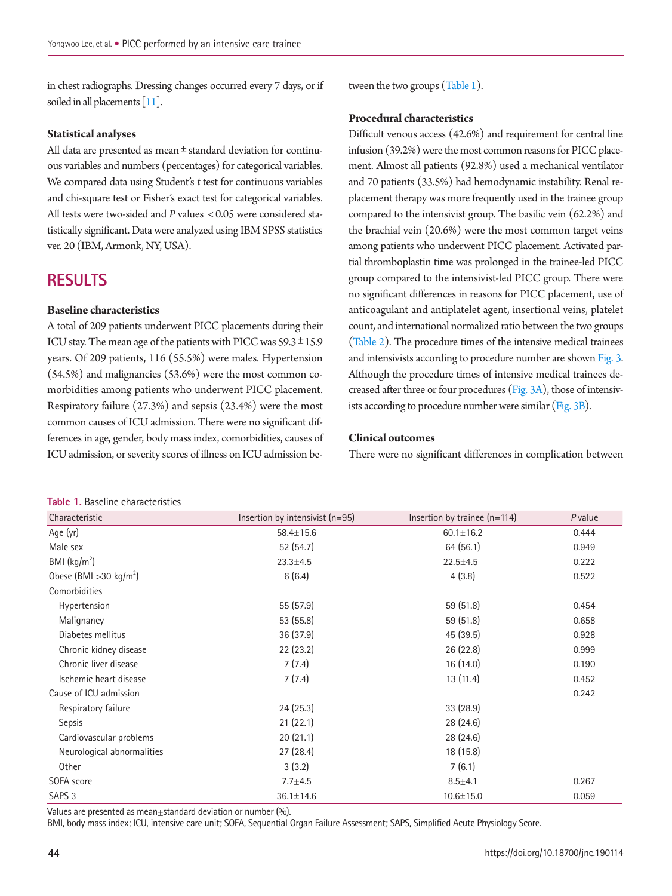in chest radiographs. Dressing changes occurred every 7 days, or if soiled in all placements [\[11](#page-6-11)].

#### **Statistical analyses**

All data are presented as mean  $\pm$  standard deviation for continuous variables and numbers (percentages) for categorical variables. We compared data using Student's *t* test for continuous variables and chi-square test or Fisher's exact test for categorical variables. All tests were two-sided and *P* values < 0.05 were considered statistically significant. Data were analyzed using IBM SPSS statistics ver. 20 (IBM, Armonk, NY, USA).

## **RESULTS**

#### **Baseline characteristics**

A total of 209 patients underwent PICC placements during their ICU stay. The mean age of the patients with PICC was 59.3±15.9 years. Of 209 patients, 116 (55.5%) were males. Hypertension (54.5%) and malignancies (53.6%) were the most common comorbidities among patients who underwent PICC placement. Respiratory failure (27.3%) and sepsis (23.4%) were the most common causes of ICU admission. There were no significant differences in age, gender, body mass index, comorbidities, causes of ICU admission, or severity scores of illness on ICU admission be-

#### <span id="page-3-0"></span>**Table 1.** Baseline characteristics

tween the two groups [\(Table 1](#page-3-0)).

#### **Procedural characteristics**

Difficult venous access (42.6%) and requirement for central line infusion (39.2%) were the most common reasons for PICC placement. Almost all patients (92.8%) used a mechanical ventilator and 70 patients (33.5%) had hemodynamic instability. Renal replacement therapy was more frequently used in the trainee group compared to the intensivist group. The basilic vein (62.2%) and the brachial vein (20.6%) were the most common target veins among patients who underwent PICC placement. Activated partial thromboplastin time was prolonged in the trainee-led PICC group compared to the intensivist-led PICC group. There were no significant differences in reasons for PICC placement, use of anticoagulant and antiplatelet agent, insertional veins, platelet count, and international normalized ratio between the two groups [\(Table 2\)](#page-4-0). The procedure times of the intensive medical trainees and intensivists according to procedure number are shown [Fig. 3.](#page-4-1) Although the procedure times of intensive medical trainees decreased after three or four procedures [\(Fig. 3A\)](#page-4-1), those of intensivists according to procedure number were similar [\(Fig. 3B](#page-4-1)).

#### **Clinical outcomes**

There were no significant differences in complication between

| <b>TAVIC T. DASCITTLE CHATACTERISTICS</b> |                                 |                                |                |  |  |
|-------------------------------------------|---------------------------------|--------------------------------|----------------|--|--|
| Characteristic                            | Insertion by intensivist (n=95) | Insertion by trainee $(n=114)$ | <i>P</i> value |  |  |
| Age (yr)                                  | 58.4±15.6                       | $60.1 \pm 16.2$                | 0.444          |  |  |
| Male sex                                  | 52 (54.7)                       | 64(56.1)                       | 0.949          |  |  |
| BMI $(kq/m2)$                             | $23.3 \pm 4.5$                  | $22.5 \pm 4.5$                 | 0.222          |  |  |
| Obese (BMI > 30 kg/m <sup>2</sup> )       | 6(6.4)                          | 4(3.8)                         | 0.522          |  |  |
| Comorbidities                             |                                 |                                |                |  |  |
| Hypertension                              | 55 (57.9)                       | 59 (51.8)                      | 0.454          |  |  |
| Malignancy                                | 53 (55.8)                       | 59 (51.8)                      | 0.658          |  |  |
| Diabetes mellitus                         | 36 (37.9)                       | 45 (39.5)                      | 0.928          |  |  |
| Chronic kidney disease                    | 22 (23.2)                       | 26 (22.8)                      | 0.999          |  |  |
| Chronic liver disease                     | 7(7.4)                          | 16 (14.0)                      | 0.190          |  |  |
| Ischemic heart disease                    | 7(7.4)                          | 13(11.4)                       | 0.452          |  |  |
| Cause of ICU admission                    |                                 |                                | 0.242          |  |  |
| Respiratory failure                       | 24(25.3)                        | 33(28.9)                       |                |  |  |
| <b>Sepsis</b>                             | 21(22.1)                        | 28 (24.6)                      |                |  |  |
| Cardiovascular problems                   | 20(21.1)                        | 28 (24.6)                      |                |  |  |
| Neurological abnormalities                | 27 (28.4)                       | 18 (15.8)                      |                |  |  |
| Other                                     | 3(3.2)                          | 7(6.1)                         |                |  |  |
| SOFA score                                | $7.7 + 4.5$                     | $8.5 + 4.1$                    | 0.267          |  |  |
| SAPS <sub>3</sub>                         | 36.1±14.6                       | 10.6±15.0                      | 0.059          |  |  |

Values are presented as mean $\pm$ standard deviation or number (%).

BMI, body mass index; ICU, intensive care unit; SOFA, Sequential Organ Failure Assessment; SAPS, Simplified Acute Physiology Score.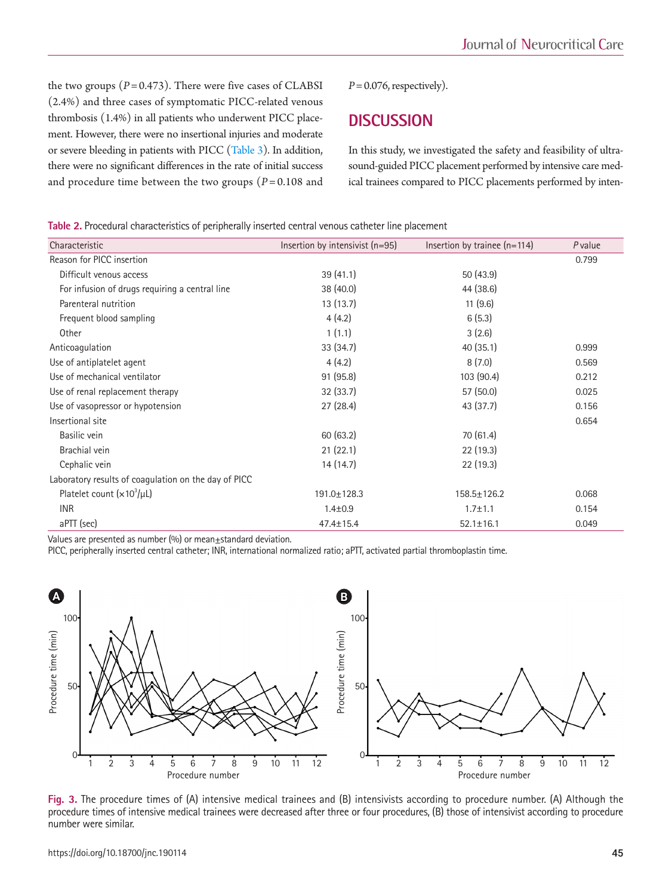the two groups  $(P= 0.473)$ . There were five cases of CLABSI (2.4%) and three cases of symptomatic PICC-related venous thrombosis (1.4%) in all patients who underwent PICC placement. However, there were no insertional injuries and moderate or severe bleeding in patients with PICC [\(Table 3](#page-5-0)). In addition, there were no significant differences in the rate of initial success and procedure time between the two groups  $(P=0.108$  and

 $P = 0.076$ , respectively).

## **DISCUSSION**

In this study, we investigated the safety and feasibility of ultrasound-guided PICC placement performed by intensive care medical trainees compared to PICC placements performed by inten-

<span id="page-4-0"></span>**Table 2.** Procedural characteristics of peripherally inserted central venous catheter line placement

| Characteristic                                       | Insertion by intensivist (n=95) | Insertion by trainee $(n=114)$ | P value |
|------------------------------------------------------|---------------------------------|--------------------------------|---------|
| Reason for PICC insertion                            |                                 |                                | 0.799   |
| Difficult venous access                              | 39(41.1)                        | 50(43.9)                       |         |
| For infusion of drugs requiring a central line       | 38(40.0)                        | 44 (38.6)                      |         |
| Parenteral nutrition                                 | 13(13.7)                        | 11(9.6)                        |         |
| Frequent blood sampling                              | 4(4.2)                          | 6(5.3)                         |         |
| Other                                                | 1(1.1)                          | 3(2.6)                         |         |
| Anticoagulation                                      | 33(34.7)                        | 40(35.1)                       | 0.999   |
| Use of antiplatelet agent                            | 4(4.2)                          | 8(7.0)                         | 0.569   |
| Use of mechanical ventilator                         | 91(95.8)                        | 103(90.4)                      | 0.212   |
| Use of renal replacement therapy                     | 32(33.7)                        | 57 (50.0)                      | 0.025   |
| Use of vasopressor or hypotension                    | 27(28.4)                        | 43 (37.7)                      | 0.156   |
| Insertional site                                     |                                 |                                | 0.654   |
| Basilic vein                                         | 60(63.2)                        | 70(61.4)                       |         |
| Brachial vein                                        | 21(22.1)                        | 22(19.3)                       |         |
| Cephalic vein                                        | 14 (14.7)                       | 22(19.3)                       |         |
| Laboratory results of coagulation on the day of PICC |                                 |                                |         |
| Platelet count $(x10^3/\mu L)$                       | 191.0±128.3                     | 158.5±126.2                    | 0.068   |
| <b>INR</b>                                           | $1.4 \pm 0.9$                   | $1.7 + 1.1$                    | 0.154   |
| aPTT (sec)                                           | 47.4±15.4                       | $52.1 \pm 16.1$                | 0.049   |

Values are presented as number  $(%)$  or mean $±$ standard deviation.

PICC, peripherally inserted central catheter; INR, international normalized ratio; aPTT, activated partial thromboplastin time.

<span id="page-4-1"></span>

**Fig. 3.** The procedure times of (A) intensive medical trainees and (B) intensivists according to procedure number. (A) Although the procedure times of intensive medical trainees were decreased after three or four procedures, (B) those of intensivist according to procedure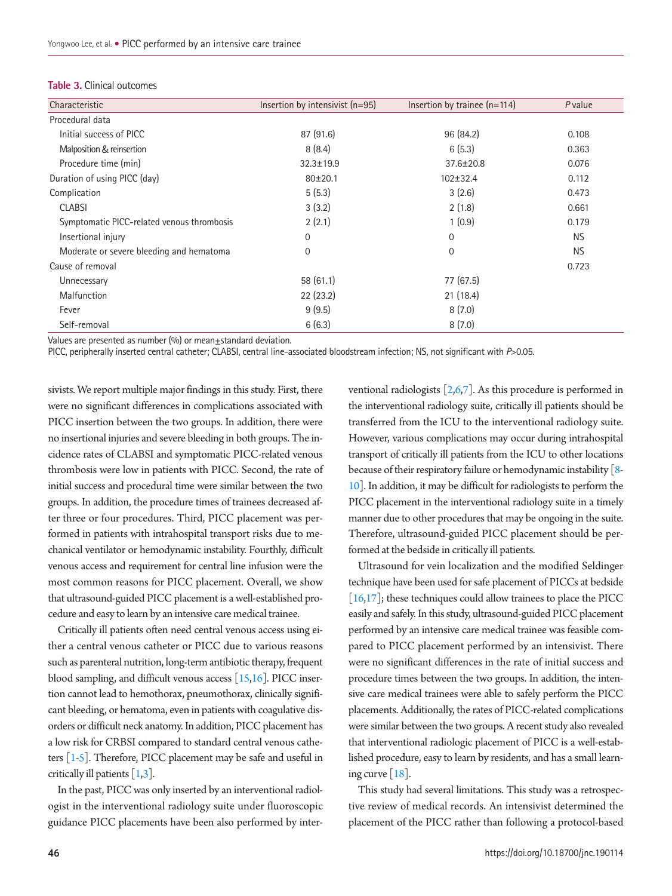| Characteristic                             | Insertion by intensivist $(n=95)$ | Insertion by trainee $(n=114)$ | <i>P</i> value |
|--------------------------------------------|-----------------------------------|--------------------------------|----------------|
| Procedural data                            |                                   |                                |                |
| Initial success of PICC                    | 87 (91.6)                         | 96 (84.2)                      | 0.108          |
| Malposition & reinsertion                  | 8(8.4)                            | 6(5.3)                         | 0.363          |
| Procedure time (min)                       | $32.3 \pm 19.9$                   | 37.6±20.8                      | 0.076          |
| Duration of using PICC (day)               | $80\pm20.1$                       | $102 \pm 32.4$                 | 0.112          |
| Complication                               | 5(5.3)                            | 3(2.6)                         | 0.473          |
| <b>CLABSI</b>                              | 3(3.2)                            | 2(1.8)                         | 0.661          |
| Symptomatic PICC-related venous thrombosis | 2(2.1)                            | 1(0.9)                         | 0.179          |
| Insertional injury                         | 0                                 | $\mathbf 0$                    | <b>NS</b>      |
| Moderate or severe bleeding and hematoma   | 0                                 | 0                              | NS.            |
| Cause of removal                           |                                   |                                | 0.723          |
| Unnecessary                                | 58 (61.1)                         | 77 (67.5)                      |                |
| Malfunction                                | 22(23.2)                          | 21(18.4)                       |                |
| Fever                                      | 9(9.5)                            | 8(7.0)                         |                |
| Self-removal                               | 6(6.3)                            | 8(7.0)                         |                |
|                                            |                                   |                                |                |

#### <span id="page-5-0"></span>**Table 3.** Clinical outcomes

Values are presented as number  $(%)$  or mean $±$ standard deviation.

PICC, peripherally inserted central catheter; CLABSI, central line-associated bloodstream infection; NS, not significant with *P*>0.05.

sivists. We report multiple major findings in this study. First, there were no significant differences in complications associated with PICC insertion between the two groups. In addition, there were no insertional injuries and severe bleeding in both groups. The incidence rates of CLABSI and symptomatic PICC-related venous thrombosis were low in patients with PICC. Second, the rate of initial success and procedural time were similar between the two groups. In addition, the procedure times of trainees decreased after three or four procedures. Third, PICC placement was performed in patients with intrahospital transport risks due to mechanical ventilator or hemodynamic instability. Fourthly, difficult venous access and requirement for central line infusion were the most common reasons for PICC placement. Overall, we show that ultrasound-guided PICC placement is a well-established procedure and easy to learn by an intensive care medical trainee.

Critically ill patients often need central venous access using either a central venous catheter or PICC due to various reasons such as parenteral nutrition, long-term antibiotic therapy, frequent blood sampling, and difficult venous access  $[15,16]$  $[15,16]$ . PICC insertion cannot lead to hemothorax, pneumothorax, clinically significant bleeding, or hematoma, even in patients with coagulative disorders or difficult neck anatomy. In addition, PICC placement has a low risk for CRBSI compared to standard central venous catheters [\[1](#page-6-2)[-5\]](#page-6-5). Therefore, PICC placement may be safe and useful in critically ill patients  $[1,3]$  $[1,3]$  $[1,3]$ .

In the past, PICC was only inserted by an interventional radiologist in the interventional radiology suite under fluoroscopic guidance PICC placements have been also performed by interventional radiologists  $\left[2,6,7\right]$  $\left[2,6,7\right]$  $\left[2,6,7\right]$  $\left[2,6,7\right]$  $\left[2,6,7\right]$ . As this procedure is performed in the interventional radiology suite, critically ill patients should be transferred from the ICU to the interventional radiology suite. However, various complications may occur during intrahospital transport of critically ill patients from the ICU to other locations because of their respiratory failure or hemodynamic instability [\[8-](#page-6-14) [10\]](#page-6-15). In addition, it may be difficult for radiologists to perform the PICC placement in the interventional radiology suite in a timely manner due to other procedures that may be ongoing in the suite. Therefore, ultrasound-guided PICC placement should be performed at the bedside in critically ill patients.

Ultrasound for vein localization and the modified Seldinger technique have been used for safe placement of PICCs at bedside [\[16](#page-6-9)[,17\]](#page-7-1); these techniques could allow trainees to place the PICC easily and safely. In this study, ultrasound-guided PICC placement performed by an intensive care medical trainee was feasible compared to PICC placement performed by an intensivist. There were no significant differences in the rate of initial success and procedure times between the two groups. In addition, the intensive care medical trainees were able to safely perform the PICC placements. Additionally, the rates of PICC-related complications were similar between the two groups. A recent study also revealed that interventional radiologic placement of PICC is a well-established procedure, easy to learn by residents, and has a small learning curve  $[18]$ .

This study had several limitations. This study was a retrospective review of medical records. An intensivist determined the placement of the PICC rather than following a protocol-based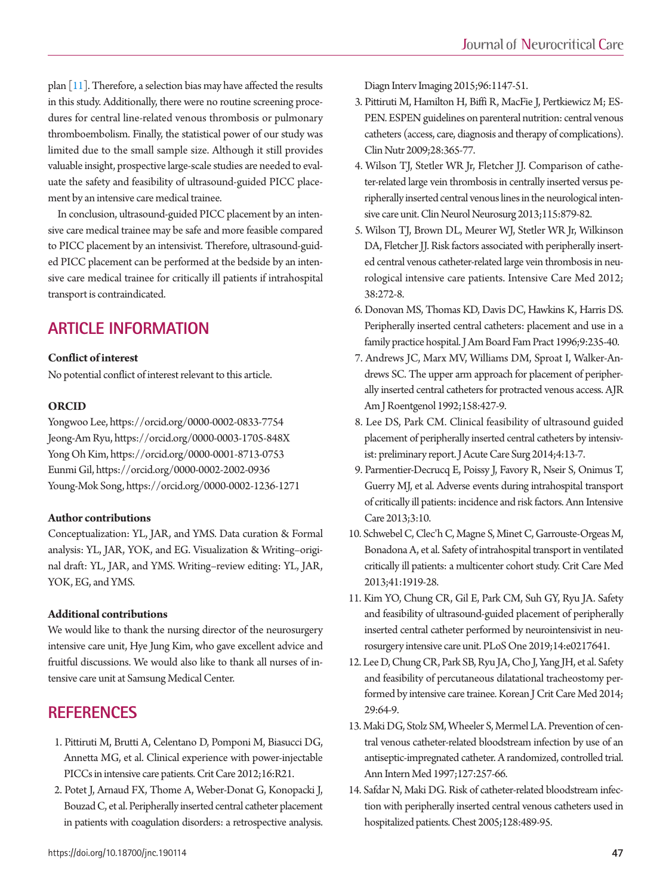plan  $\lceil 11 \rceil$ . Therefore, a selection bias may have affected the results in this study. Additionally, there were no routine screening procedures for central line-related venous thrombosis or pulmonary thromboembolism. Finally, the statistical power of our study was limited due to the small sample size. Although it still provides valuable insight, prospective large-scale studies are needed to evaluate the safety and feasibility of ultrasound-guided PICC placement by an intensive care medical trainee.

In conclusion, ultrasound-guided PICC placement by an intensive care medical trainee may be safe and more feasible compared to PICC placement by an intensivist. Therefore, ultrasound-guided PICC placement can be performed at the bedside by an intensive care medical trainee for critically ill patients if intrahospital transport is contraindicated.

## **ARTICLE INFORMATION**

#### **Conflict of interest**

<span id="page-6-0"></span>No potential conflict of interest relevant to this article.

#### **ORCID**

Yongwoo Lee, https://orcid.org/0000-0002-0833-7754 Jeong-Am Ryu, https://orcid.org/0000-0003-1705-848X Yong Oh Kim, https://orcid.org/0000-0001-8713-0753 Eunmi Gil, https://orcid.org/0000-0002-2002-0936 Young-Mok Song, https://orcid.org/0000-0002-1236-1271

#### **Author contributions**

Conceptualization: YL, JAR, and YMS. Data curation & Formal analysis: YL, JAR, YOK, and EG. Visualization & Writing–original draft: YL, JAR, and YMS. Writing–review editing: YL, JAR, YOK, EG, and YMS.

#### **Additional contributions**

<span id="page-6-1"></span>We would like to thank the nursing director of the neurosurgery intensive care unit, Hye Jung Kim, who gave excellent advice and fruitful discussions. We would also like to thank all nurses of intensive care unit at Samsung Medical Center.

## **REFERENCES**

- <span id="page-6-2"></span>1. Pittiruti M, Brutti A, Celentano [D, Pomponi M, Biasucci DG,](https://doi.org/10.1186/cc11181) [Annetta MG, et al. Clinical experience with power-injectable](https://doi.org/10.1186/cc11181)  [PICCs in intensive care patients. Crit Care 2012;16:R21.](https://doi.org/10.1186/cc11181)
- <span id="page-6-13"></span>2. [Potet J, Arnaud FX, Thome A, Weber-Donat G, Konopacki J,](https://doi.org/10.1016/j.diii.2014.12.012)  [Bouzad C, et al. Peripherally inserted central catheter placement](https://doi.org/10.1016/j.diii.2014.12.012)  [in patients with coagulation disorders: a retrospective analysis.](https://doi.org/10.1016/j.diii.2014.12.012)

[Diagn Interv Imaging 2015;96:1147-51.](https://doi.org/10.1016/j.diii.2014.12.012)

- <span id="page-6-12"></span>[3. Pittiruti M, Hamilton H, Biffi R, MacFie J, Pertkiewicz M; ES-](https://doi.org/10.1016/j.clnu.2009.03.015)[PEN. ESPEN guidelines on parenteral nutrition: central venous](https://doi.org/10.1016/j.clnu.2009.03.015)  [catheters \(access, care, diagnosis and therapy of complications\).](https://doi.org/10.1016/j.clnu.2009.03.015)  [Clin Nutr 2009;28:365-77](https://doi.org/10.1016/j.clnu.2009.03.015).
- <span id="page-6-4"></span>4. Wilson TJ, Stetler WR Jr, Fletcher JJ. Comparison of catheter-[related large vein thrombosis in centrally inserted versus pe](https://doi.org/10.1016/j.clineuro.2012.08.025)[ripherally inserted central venous lines in the neurological inten](https://doi.org/10.1016/j.clineuro.2012.08.025)[sive care unit. Clin Neurol Neurosurg 2013;115:879-82.](https://doi.org/10.1016/j.clineuro.2012.08.025)
- <span id="page-6-5"></span>5. Wilson TJ, Br[own DL, Meurer WJ, Stetler WR Jr, Wilkinson](https://doi.org/10.1007/s00134-011-2418-7)  [DA, Fletcher JJ. Risk factors associated with peripherally insert](https://doi.org/10.1007/s00134-011-2418-7)[ed central venous catheter-related large vein thrombosis in neu](https://doi.org/10.1007/s00134-011-2418-7)[rological intensive care patients. Intensive Care Med 2012;](https://doi.org/10.1007/s00134-011-2418-7) [38:272-8.](https://doi.org/10.1007/s00134-011-2418-7)
- <span id="page-6-6"></span><span id="page-6-3"></span>6. Donovan MS, Thomas KD, Davis DC, Hawkins K, Harris DS. Peripherally inserted central catheters: placement and use in a family practice hospital. J Am Board Fam Pract 1996;9:235-40.
- <span id="page-6-7"></span>7. Andrews JC, Marx MV, Williams DM, Sproat I, Walker-Andr[ews SC. The upper arm approach for placement of peripher](https://doi.org/10.2214/ajr.158.2.1729802)[ally inserted central catheters for protracted venous access. AJR](https://doi.org/10.2214/ajr.158.2.1729802)  [Am J Roentgenol 1992;158:427-9.](https://doi.org/10.2214/ajr.158.2.1729802)
- <span id="page-6-14"></span>8. [Lee DS, Park CM. Clinical feasibility of ultrasound guided](https://doi.org/10.17479/jacs.2014.4.1.13)  [placement of peripherally inserted central catheters by intensiv](https://doi.org/10.17479/jacs.2014.4.1.13)[ist: preliminary report. J Acute Care Surg 2014;4:13-7.](https://doi.org/10.17479/jacs.2014.4.1.13)
- <span id="page-6-16"></span>[9. Parmentier-Decrucq E, Poissy J, Favory R, Nseir S, Onimus T,](https://doi.org/10.1186/2110-5820-3-10)  [Guerry MJ, et al. Adverse events during intrahospital transport](https://doi.org/10.1186/2110-5820-3-10)  [of critically ill patients: incidence and risk factors. Ann Intensive](https://doi.org/10.1186/2110-5820-3-10)  [Care 2013;3:10](https://doi.org/10.1186/2110-5820-3-10).
- <span id="page-6-15"></span>10. [Schwebel C, Clec'h C, Magne S, Minet C, Garrouste-Orgeas M,](https://doi.org/10.1097/CCM.0b013e31828a3bbd)  [Bonadona A, et al. Safety of intrahospital transport in ventilated](https://doi.org/10.1097/CCM.0b013e31828a3bbd)  [critically ill patients: a multicenter cohort study. Crit Care Med](https://doi.org/10.1097/CCM.0b013e31828a3bbd)  [2013;41:1919-28.](https://doi.org/10.1097/CCM.0b013e31828a3bbd)
- <span id="page-6-11"></span>11. [Kim YO, Chung CR, Gil E, Park CM, Suh GY, Ryu JA. Safety](https://doi.org/10.1371/journal.pone.0217641)  [and feasibility of ultrasound-guided placement of peripherally](https://doi.org/10.1371/journal.pone.0217641)  [inserted central catheter performed by neurointensivist in neu](https://doi.org/10.1371/journal.pone.0217641)[rosurgery intensive care unit. PLoS One 2019;14:e0217641.](https://doi.org/10.1371/journal.pone.0217641)
- <span id="page-6-8"></span>1[2. Lee D, Chung CR, Park SB, Ryu JA, Cho J, Yang JH, et al. Safety](https://doi.org/10.4266/kjccm.2014.29.2.64)  [and feasibility of percutaneous dilatational tracheostomy per](https://doi.org/10.4266/kjccm.2014.29.2.64)[formed by intensive care trainee. Korean J Crit Care Med 2014;](https://doi.org/10.4266/kjccm.2014.29.2.64) [29:64-9.](https://doi.org/10.4266/kjccm.2014.29.2.64)
- <span id="page-6-10"></span>1[3. Maki DG, Stolz SM, Wheeler S, Mermel LA. Prevention of cen](https://doi.org/10.7326/0003-4819-127-4-199708150-00001)[tral venous catheter-related bloodstream infection by use of an](https://doi.org/10.7326/0003-4819-127-4-199708150-00001)  [antiseptic-impregnated catheter. A randomized, controlled trial.](https://doi.org/10.7326/0003-4819-127-4-199708150-00001)  [Ann Intern Med 1997;127:257-66.](https://doi.org/10.7326/0003-4819-127-4-199708150-00001)
- <span id="page-6-9"></span>14. Safdar N, Maki DG. Risk of catheter-related bloodst[ream infec](https://doi.org/10.1378/chest.128.2.489)[tion with peripherally inserted central venous catheters used in](https://doi.org/10.1378/chest.128.2.489)  [hospitalized patients. Chest 2005;128:489-95.](https://doi.org/10.1378/chest.128.2.489)